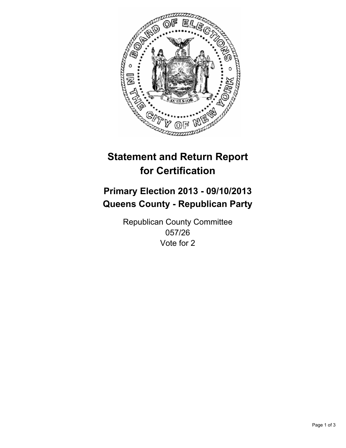

# **Statement and Return Report for Certification**

# **Primary Election 2013 - 09/10/2013 Queens County - Republican Party**

Republican County Committee 057/26 Vote for 2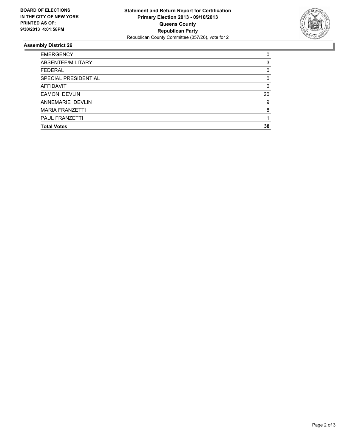

## **Assembly District 26**

| 0        |
|----------|
| 3        |
| $\Omega$ |
| $\Omega$ |
| $\Omega$ |
| 20       |
| 9        |
| 8        |
|          |
| 38       |
|          |